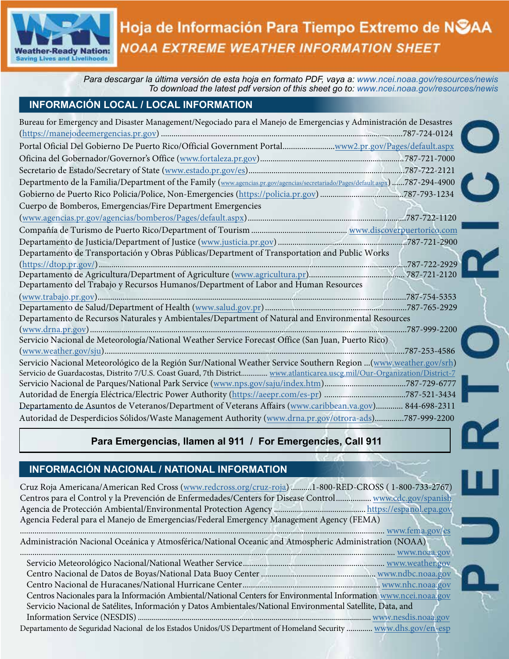

# Hoja de Información Para Tiempo Extremo de NSAA **NOAA EXTREME WEATHER INFORMATION SHEET**

*Para descargar la última versión de esta hoja en formato PDF, vaya a: [www.ncei.noaa.gov/resources/newis](https://www.ncei.noaa.gov/resources/newis) To download the latest pdf version of this sheet go to: [www.nce](https://www.ncei.noaa.gov/resources/newis)[i.noaa.gov/resources/newis](http://www.ngdc.noaa.gov/newis/)*

## **INFORMACIÓN LOCAL / LOCAL INFORMATION**

| Bureau for Emergency and Disaster Management/Negociado para el Manejo de Emergencias y Administración de Desastres             |  |
|--------------------------------------------------------------------------------------------------------------------------------|--|
|                                                                                                                                |  |
| Portal Oficial Del Gobierno De Puerto Rico/Official Government Portalwww2.pr.gov/Pages/default.aspx                            |  |
|                                                                                                                                |  |
|                                                                                                                                |  |
| Departmento de la Familia/Department of the Family (www.agencias.pr.gov/agencias/secretariado/Pages/default.aspx) 787-294-4900 |  |
|                                                                                                                                |  |
| Cuerpo de Bomberos, Emergencias/Fire Department Emergencies                                                                    |  |
|                                                                                                                                |  |
|                                                                                                                                |  |
|                                                                                                                                |  |
| Departamento de Transportación y Obras Públicas/Department of Transportation and Public Works                                  |  |
|                                                                                                                                |  |
|                                                                                                                                |  |
| Departamento del Trabajo y Recursos Humanos/Department of Labor and Human Resources                                            |  |
|                                                                                                                                |  |
|                                                                                                                                |  |
| Departamento de Recursos Naturales y Ambientales/Department of Natural and Environmental Resources                             |  |
|                                                                                                                                |  |
| Servicio Nacional de Meteorología/National Weather Service Forecast Office (San Juan, Puerto Rico)                             |  |
|                                                                                                                                |  |
| Servicio Nacional Meteorológico de la Región Sur/National Weather Service Southern Region  (www.weather.gov/srh)               |  |
| Servicio de Guardacostas, Distrito 7/U.S. Coast Guard, 7th District www.atlanticarea.uscg.mil/Our-Organization/District-7      |  |
|                                                                                                                                |  |
|                                                                                                                                |  |
| Departamento de Asuntos de Veteranos/Department of Veterans Affairs (www.caribbean.va.gov) 844-698-2311                        |  |
| Autoridad de Desperdicios Sólidos/Waste Management Authority (www.drna.pr.gov/otrora-ads)787-999-2200                          |  |

# **Para Emergencias, llamen al 911 / For Emergencies, Call 911**

# **INFORMACIÓN NACIONAL / NATIONAL INFORMATION**

Cruz Roja Americana/American Red Cross ([www.redcross.org/cruz-roja](https://www.redcross.org/cruz-roja.html)) ..........1-800-RED-CROSS ( 1-800-733-2767) Centros para el Control y la Prevención de Enfermedades/Centers for Disease Control ................. [www.cdc.gov/spanish](https://www.cdc.gov/spanish/) Agencia de Protección Ambiental/Environmental Protection Agency ............................................ [https://espanol.epa.gov](https://espanol.epa.gov/) Agencia Federal para el Manejo de Emergencias/Federal Emergency Management Agency (FEMA) ............................................................................................................................................................................... [www.fema.gov/es](https://www.fema.gov/es) Administración Nacional Oceánica y Atmosférica/National Oceanic and Atmospheric Administration (NOAA) .................................................................................................................................................................................... [www.noaa.gov](https://www.noaa.gov/) Servicio Meteorológico Nacional/National Weather Service.................................................................... [www.weather.gov](https://www.weather.gov/) Centro Nacional de Datos de Boyas/National Data Buoy Center ....................................................... [www.ndbc.noaa.gov](https://www.ndbc.noaa.gov/) Centro Nacional de Huracanes/National Hurricane Center .................................................................. [www.nhc.noaa.gov](https://www.nhc.noaa.gov) Centros Nacionales para la Información Ambiental/National Centers for Environmental Information [www.ncei.noaa.gov](https://www.ncei.noaa.gov/) Servicio Nacional de Satélites, Información y Datos Ambientales/National Environmental Satellite, Data, and Information Service (NESDIS).....................................................................................................................[www.nesdis.noaa.gov](https://www.nesdis.noaa.gov/) Departamento de Seguridad Nacional de los Estados Unidos/US Department of Homeland Security ............. [www.dhs.gov/en-esp](https://www.dhs.gov/en-esp)